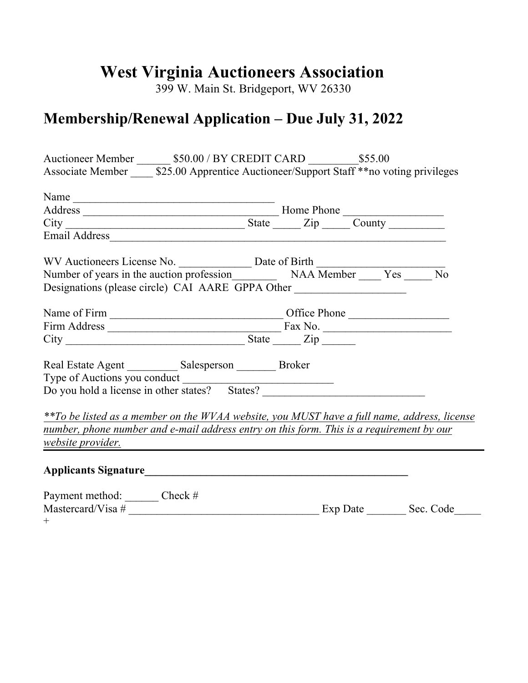## **West Virginia Auctioneers Association**

399 W. Main St. Bridgeport, WV 26330

## **Membership/Renewal Application – Due July 31, 2022**

| Auctioneer Member ________ \$50.00 / BY CREDIT CARD __________ \$55.00                                                                                                        |                                                                                                                      |  |                  |
|-------------------------------------------------------------------------------------------------------------------------------------------------------------------------------|----------------------------------------------------------------------------------------------------------------------|--|------------------|
| Associate Member _______ \$25.00 Apprentice Auctioneer/Support Staff ** no voting privileges                                                                                  |                                                                                                                      |  |                  |
| Name                                                                                                                                                                          |                                                                                                                      |  |                  |
|                                                                                                                                                                               |                                                                                                                      |  |                  |
|                                                                                                                                                                               |                                                                                                                      |  |                  |
|                                                                                                                                                                               |                                                                                                                      |  |                  |
|                                                                                                                                                                               |                                                                                                                      |  |                  |
|                                                                                                                                                                               |                                                                                                                      |  | $\overline{N_0}$ |
| Designations (please circle) CAI AARE GPPA Other                                                                                                                              |                                                                                                                      |  |                  |
|                                                                                                                                                                               |                                                                                                                      |  |                  |
|                                                                                                                                                                               |                                                                                                                      |  |                  |
|                                                                                                                                                                               |                                                                                                                      |  |                  |
| Real Estate Agent ___________ Salesperson ________ Broker<br>Type of Auctions you conduct<br>Do you hold a license in other states? States? _________________________________ |                                                                                                                      |  |                  |
| **To be listed as a member on the WVAA website, you MUST have a full name, address, license                                                                                   |                                                                                                                      |  |                  |
| number, phone number and e-mail address entry on this form. This is a requirement by our<br>website provider.                                                                 | <u> 1980 - Jan James James James James James James James James James James James James James James James James J</u> |  |                  |
|                                                                                                                                                                               |                                                                                                                      |  |                  |
| Payment method: _______ Check #<br>$^{+}$                                                                                                                                     |                                                                                                                      |  |                  |
|                                                                                                                                                                               |                                                                                                                      |  |                  |